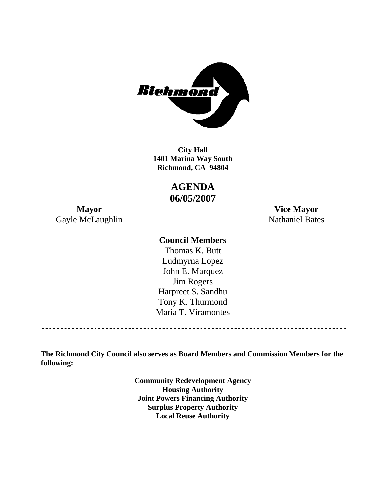

**1401 Marina Way South Richmond, CA 94804 City Hall** 

> **AGENDA 06/05/2007**

Gayle McLaughlin Nathaniel Bates

**Mayor Vice Mayor** 

## **Council Members**

Harpreet S. Sandhu Tony K. Thurmond Maria T. Viramontes Thomas K. Butt Ludmyrna Lopez John E. Marquez Jim Rogers

**The Richmond City Council also serves as Board Members and Commission Members for the following:** 

> **Community Redevelopment Agency Housing Authority Joint Powers Financing Authority Surplus Property Authority Local Reuse Authority**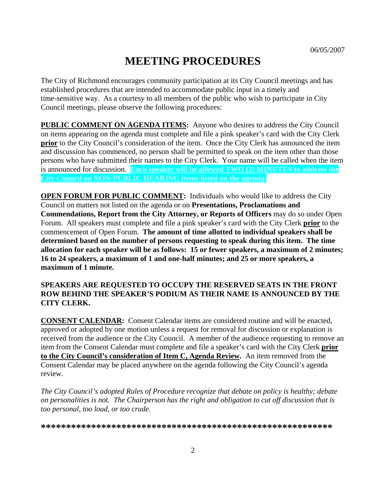# **MEETING PROCEDURES**

The City of Richmond encourages community participation at its City Council meetings and has established procedures that are intended to accommodate public input in a timely and time-sensitive way. As a courtesy to all members of the public who wish to participate in City Council meetings, please observe the following procedures:

**PUBLIC COMMENT ON AGENDA ITEMS:** Anyone who desires to address the City Council on items appearing on the agenda must complete and file a pink speaker's card with the City Clerk **prior** to the City Council's consideration of the item. Once the City Clerk has announced the item and discussion has commenced, no person shall be permitted to speak on the item other than those persons who have submitted their names to the City Clerk. Your name will be called when the item is announced for discussion. **Each speaker will be allowed TWO (2) MINUTES to address the City Council on NON-PUBLIC HEARING items listed on the agenda.** 

**OPEN FORUM FOR PUBLIC COMMENT:** Individuals who would like to address the City Council on matters not listed on the agenda or on **Presentations, Proclamations and Commendations, Report from the City Attorney, or Reports of Officers** may do so under Open Forum. All speakers must complete and file a pink speaker's card with the City Clerk **prior** to the commencement of Open Forum. **The amount of time allotted to individual speakers shall be determined based on the number of persons requesting to speak during this item. The time allocation for each speaker will be as follows: 15 or fewer speakers, a maximum of 2 minutes; 16 to 24 speakers, a maximum of 1 and one-half minutes; and 25 or more speakers, a maximum of 1 minute.** 

#### **SPEAKERS ARE REQUESTED TO OCCUPY THE RESERVED SEATS IN THE FRONT ROW BEHIND THE SPEAKER'S PODIUM AS THEIR NAME IS ANNOUNCED BY THE CITY CLERK.**

**CONSENT CALENDAR:** Consent Calendar items are considered routine and will be enacted, approved or adopted by one motion unless a request for removal for discussion or explanation is received from the audience or the City Council. A member of the audience requesting to remove an item from the Consent Calendar must complete and file a speaker's card with the City Clerk **prior to the City Council's consideration of Item C, Agenda Review.** An item removed from the Consent Calendar may be placed anywhere on the agenda following the City Council's agenda review.

*The City Council's adopted Rules of Procedure recognize that debate on policy is healthy; debate on personalities is not. The Chairperson has the right and obligation to cut off discussion that is too personal, too loud, or too crude.* 

**\*\*\*\*\*\*\*\*\*\*\*\*\*\*\*\*\*\*\*\*\*\*\*\*\*\*\*\*\*\*\*\*\*\*\*\*\*\*\*\*\*\*\*\*\*\*\*\*\*\*\*\*\*\*\*\*\*\***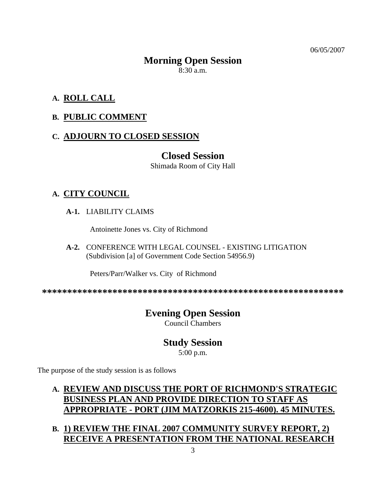06/05/2007

# **Morning Open Session**

8:30 a.m.

# **A. ROLL CALL**

# **B. PUBLIC COMMENT**

# **C. ADJOURN TO CLOSED SESSION**

# **Closed Session**

Shimada Room of City Hall

# **A. CITY COUNCIL**

 **A-1.** LIABILITY CLAIMS

Antoinette Jones vs. City of Richmond

 **A-2.** CONFERENCE WITH LEGAL COUNSEL - EXISTING LITIGATION (Subdivision [a] of Government Code Section 54956.9)

Peters/Parr/Walker vs. City of Richmond

**\*\*\*\*\*\*\*\*\*\*\*\*\*\*\*\*\*\*\*\*\*\*\*\*\*\*\*\*\*\*\*\*\*\*\*\*\*\*\*\*\*\*\*\*\*\*\*\*\*\*\*\*\*\*\*\*\*\*\*\*** 

# **Evening Open Session**

Council Chambers

# **Study Session**

5:00 p.m.

The purpose of the study session is as follows

# **A. REVIEW AND DISCUSS THE PORT OF RICHMOND'S STRATEGIC BUSINESS PLAN AND PROVIDE DIRECTION TO STAFF AS APPROPRIATE - PORT (JIM MATZORKIS 215-4600). 45 MINUTES.**

# **B. 1) REVIEW THE FINAL 2007 COMMUNITY SURVEY REPORT, 2) RECEIVE A PRESENTATION FROM THE NATIONAL RESEARCH**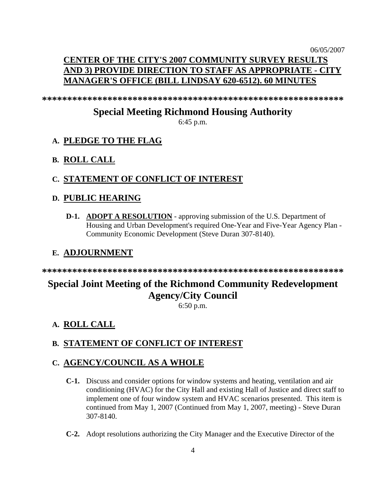# 06/05/2007 **CENTER OF THE CITY'S 2007 COMMUNITY SURVEY RESULTS AND 3) PROVIDE DIRECTION TO STAFF AS APPROPRIATE - CITY MANAGER'S OFFICE (BILL LINDSAY 620-6512). 60 MINUTES**

**\*\*\*\*\*\*\*\*\*\*\*\*\*\*\*\*\*\*\*\*\*\*\*\*\*\*\*\*\*\*\*\*\*\*\*\*\*\*\*\*\*\*\*\*\*\*\*\*\*\*\*\*\*\*\*\*\*\*\*\*** 

# **Special Meeting Richmond Housing Authority**

6:45 p.m.

## **A. PLEDGE TO THE FLAG**

#### **B. ROLL CALL**

#### **C. STATEMENT OF CONFLICT OF INTEREST**

#### **D. PUBLIC HEARING**

**D-1. ADOPT A RESOLUTION** - approving submission of the U.S. Department of Housing and Urban Development's required One-Year and Five-Year Agency Plan - Community Economic Development (Steve Duran 307-8140).

### **E. ADJOURNMENT**

**\*\*\*\*\*\*\*\*\*\*\*\*\*\*\*\*\*\*\*\*\*\*\*\*\*\*\*\*\*\*\*\*\*\*\*\*\*\*\*\*\*\*\*\*\*\*\*\*\*\*\*\*\*\*\*\*\*\*\*\*** 

# **Special Joint Meeting of the Richmond Community Redevelopment Agency/City Council**

6:50 p.m.

# **A. ROLL CALL**

## **B. STATEMENT OF CONFLICT OF INTEREST**

#### **C. AGENCY/COUNCIL AS A WHOLE**

- **C-1.** Discuss and consider options for window systems and heating, ventilation and air conditioning (HVAC) for the City Hall and existing Hall of Justice and direct staff to implement one of four window system and HVAC scenarios presented. This item is continued from May 1, 2007 (Continued from May 1, 2007, meeting) - Steve Duran 307-8140.
- **C-2.** Adopt resolutions authorizing the City Manager and the Executive Director of the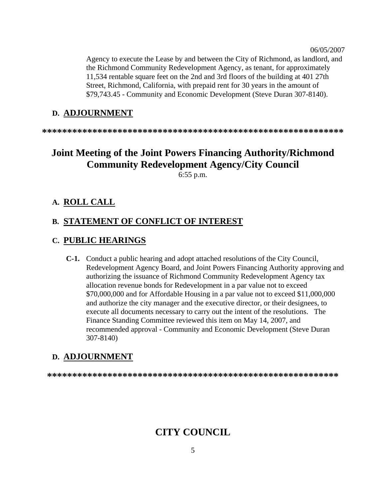Agency to execute the Lease by and between the City of Richmond, as landlord, and the Richmond Community Redevelopment Agency, as tenant, for approximately 11,534 rentable square feet on the 2nd and 3rd floors of the building at 401 27th Street, Richmond, California, with prepaid rent for 30 years in the amount of \$79,743.45 - Community and Economic Development (Steve Duran 307-8140).

#### **D. ADJOURNMENT**

**\*\*\*\*\*\*\*\*\*\*\*\*\*\*\*\*\*\*\*\*\*\*\*\*\*\*\*\*\*\*\*\*\*\*\*\*\*\*\*\*\*\*\*\*\*\*\*\*\*\*\*\*\*\*\*\*\*\*\*\*** 

# **Joint Meeting of the Joint Powers Financing Authority/Richmond Community Redevelopment Agency/City Council**

6:55 p.m.

#### **A. ROLL CALL**

#### **B. STATEMENT OF CONFLICT OF INTEREST**

#### **C. PUBLIC HEARINGS**

 **C-1.** Conduct a public hearing and adopt attached resolutions of the City Council, Redevelopment Agency Board, and Joint Powers Financing Authority approving and authorizing the issuance of Richmond Community Redevelopment Agency tax allocation revenue bonds for Redevelopment in a par value not to exceed \$70,000,000 and for Affordable Housing in a par value not to exceed \$11,000,000 and authorize the city manager and the executive director, or their designees, to execute all documents necessary to carry out the intent of the resolutions. The Finance Standing Committee reviewed this item on May 14, 2007, and recommended approval - Community and Economic Development (Steve Duran 307-8140)

## **D. ADJOURNMENT**

**\*\*\*\*\*\*\*\*\*\*\*\*\*\*\*\*\*\*\*\*\*\*\*\*\*\*\*\*\*\*\*\*\*\*\*\*\*\*\*\*\*\*\*\*\*\*\*\*\*\*\*\*\*\*\*\*\*\*** 

# **CITY COUNCIL**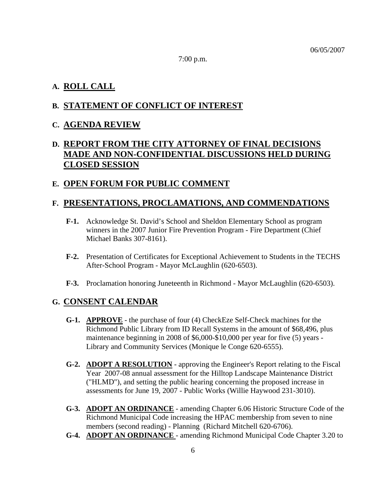7:00 p.m.

## **A. ROLL CALL**

## **B. STATEMENT OF CONFLICT OF INTEREST**

## **C. AGENDA REVIEW**

# **D. REPORT FROM THE CITY ATTORNEY OF FINAL DECISIONS MADE AND NON-CONFIDENTIAL DISCUSSIONS HELD DURING CLOSED SESSION**

## **E. OPEN FORUM FOR PUBLIC COMMENT**

## **F. PRESENTATIONS, PROCLAMATIONS, AND COMMENDATIONS**

- **F-1.** Acknowledge St. David's School and Sheldon Elementary School as program winners in the 2007 Junior Fire Prevention Program - Fire Department (Chief Michael Banks 307-8161).
- **F-2.** Presentation of Certificates for Exceptional Achievement to Students in the TECHS After-School Program - Mayor McLaughlin (620-6503).
- **F-3.** Proclamation honoring Juneteenth in Richmond Mayor McLaughlin (620-6503).

## **G. CONSENT CALENDAR**

- **G-1. APPROVE** the purchase of four (4) CheckEze Self-Check machines for the Richmond Public Library from ID Recall Systems in the amount of \$68,496, plus maintenance beginning in 2008 of \$6,000-\$10,000 per year for five (5) years - Library and Community Services (Monique le Conge 620-6555).
- **G-2. ADOPT A RESOLUTION** approving the Engineer's Report relating to the Fiscal Year 2007-08 annual assessment for the Hilltop Landscape Maintenance District ("HLMD"), and setting the public hearing concerning the proposed increase in assessments for June 19, 2007 - Public Works (Willie Haywood 231-3010).
- **G-3. ADOPT AN ORDINANCE** amending Chapter 6.06 Historic Structure Code of the Richmond Municipal Code increasing the HPAC membership from seven to nine members (second reading) - Planning (Richard Mitchell 620-6706).
- **G-4. ADOPT AN ORDINANCE**  amending Richmond Municipal Code Chapter 3.20 to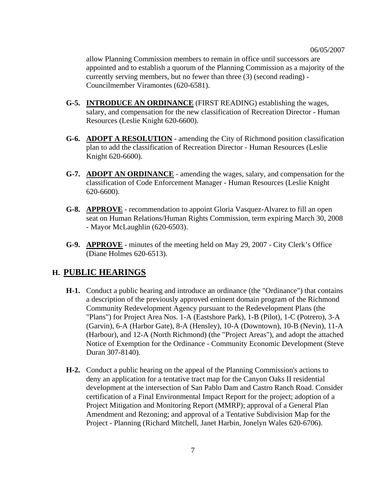allow Planning Commission members to remain in office until successors are appointed and to establish a quorum of the Planning Commission as a majority of the currently serving members, but no fewer than three (3) (second reading) - Councilmember Viramontes (620-6581).

- **G-5. INTRODUCE AN ORDINANCE** (FIRST READING) establishing the wages, salary, and compensation for the new classification of Recreation Director - Human Resources (Leslie Knight 620-6600).
- **G-6. ADOPT A RESOLUTION** amending the City of Richmond position classification plan to add the classification of Recreation Director - Human Resources (Leslie Knight 620-6600).
- **G-7. ADOPT AN ORDINANCE** amending the wages, salary, and compensation for the classification of Code Enforcement Manager - Human Resources (Leslie Knight 620-6600).
- **G-8. APPROVE** recommendation to appoint Gloria Vasquez-Alvarez to fill an open seat on Human Relations/Human Rights Commission, term expiring March 30, 2008 - Mayor McLaughlin (620-6503).
- **G-9. APPROVE** minutes of the meeting held on May 29, 2007 City Clerk's Office (Diane Holmes 620-6513).

#### **H. PUBLIC HEARINGS**

- **H-1.** Conduct a public hearing and introduce an ordinance (the "Ordinance") that contains a description of the previously approved eminent domain program of the Richmond Community Redevelopment Agency pursuant to the Redevelopment Plans (the "Plans") for Project Area Nos. 1-A (Eastshore Park), 1-B (Pilot), 1-C (Potrero), 3-A (Garvin), 6-A (Harbor Gate), 8-A (Hensley), 10-A (Downtown), 10-B (Nevin), 11-A (Harbour), and 12-A (North Richmond) (the "Project Areas"), and adopt the attached Notice of Exemption for the Ordinance - Community Economic Development (Steve Duran 307-8140).
- **H-2.** Conduct a public hearing on the appeal of the Planning Commission's actions to deny an application for a tentative tract map for the Canyon Oaks II residential development at the intersection of San Pablo Dam and Castro Ranch Road. Consider certification of a Final Environmental Impact Report for the project; adoption of a Project Mitigation and Monitoring Report (MMRP); approval of a General Plan Amendment and Rezoning; and approval of a Tentative Subdivision Map for the Project - Planning (Richard Mitchell, Janet Harbin, Jonelyn Wales 620-6706).